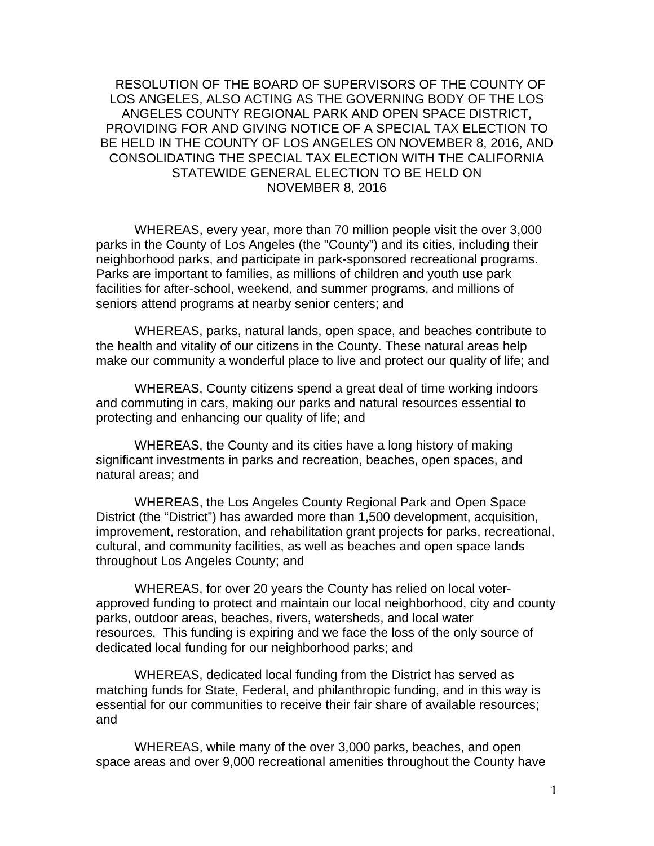RESOLUTION OF THE BOARD OF SUPERVISORS OF THE COUNTY OF LOS ANGELES, ALSO ACTING AS THE GOVERNING BODY OF THE LOS ANGELES COUNTY REGIONAL PARK AND OPEN SPACE DISTRICT, PROVIDING FOR AND GIVING NOTICE OF A SPECIAL TAX ELECTION TO BE HELD IN THE COUNTY OF LOS ANGELES ON NOVEMBER 8, 2016, AND CONSOLIDATING THE SPECIAL TAX ELECTION WITH THE CALIFORNIA STATEWIDE GENERAL ELECTION TO BE HELD ON NOVEMBER 8, 2016

WHEREAS, every year, more than 70 million people visit the over 3,000 parks in the County of Los Angeles (the "County") and its cities, including their neighborhood parks, and participate in park-sponsored recreational programs. Parks are important to families, as millions of children and youth use park facilities for after-school, weekend, and summer programs, and millions of seniors attend programs at nearby senior centers; and

WHEREAS, parks, natural lands, open space, and beaches contribute to the health and vitality of our citizens in the County. These natural areas help make our community a wonderful place to live and protect our quality of life; and

WHEREAS, County citizens spend a great deal of time working indoors and commuting in cars, making our parks and natural resources essential to protecting and enhancing our quality of life; and

WHEREAS, the County and its cities have a long history of making significant investments in parks and recreation, beaches, open spaces, and natural areas; and

 WHEREAS, the Los Angeles County Regional Park and Open Space District (the "District") has awarded more than 1,500 development, acquisition, improvement, restoration, and rehabilitation grant projects for parks, recreational, cultural, and community facilities, as well as beaches and open space lands throughout Los Angeles County; and

WHEREAS, for over 20 years the County has relied on local voterapproved funding to protect and maintain our local neighborhood, city and county parks, outdoor areas, beaches, rivers, watersheds, and local water resources. This funding is expiring and we face the loss of the only source of dedicated local funding for our neighborhood parks; and

WHEREAS, dedicated local funding from the District has served as matching funds for State, Federal, and philanthropic funding, and in this way is essential for our communities to receive their fair share of available resources; and

WHEREAS, while many of the over 3,000 parks, beaches, and open space areas and over 9,000 recreational amenities throughout the County have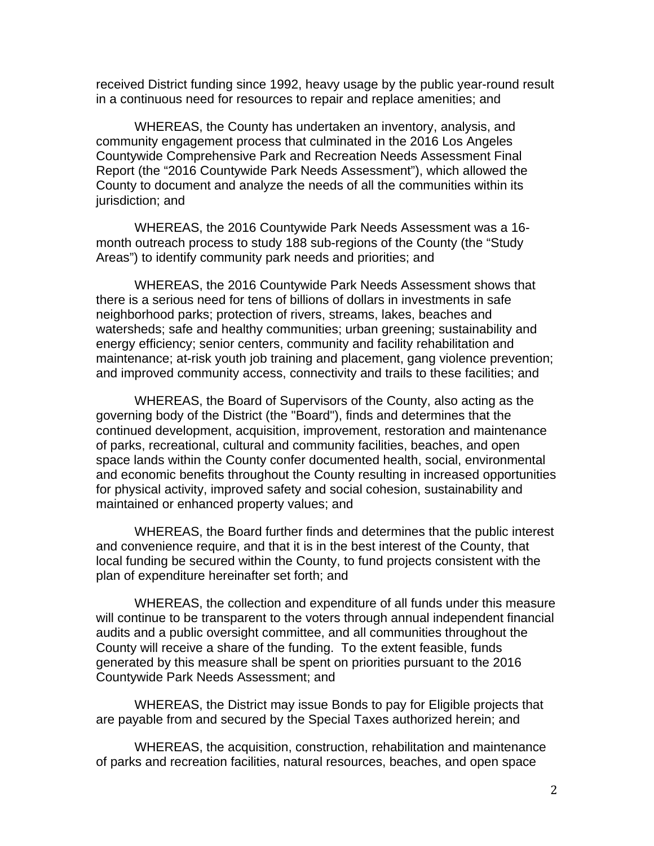received District funding since 1992, heavy usage by the public year-round result in a continuous need for resources to repair and replace amenities; and

WHEREAS, the County has undertaken an inventory, analysis, and community engagement process that culminated in the 2016 Los Angeles Countywide Comprehensive Park and Recreation Needs Assessment Final Report (the "2016 Countywide Park Needs Assessment"), which allowed the County to document and analyze the needs of all the communities within its jurisdiction; and

WHEREAS, the 2016 Countywide Park Needs Assessment was a 16 month outreach process to study 188 sub-regions of the County (the "Study Areas") to identify community park needs and priorities; and

 WHEREAS, the 2016 Countywide Park Needs Assessment shows that there is a serious need for tens of billions of dollars in investments in safe neighborhood parks; protection of rivers, streams, lakes, beaches and watersheds; safe and healthy communities; urban greening; sustainability and energy efficiency; senior centers, community and facility rehabilitation and maintenance; at-risk youth job training and placement, gang violence prevention; and improved community access, connectivity and trails to these facilities; and

WHEREAS, the Board of Supervisors of the County, also acting as the governing body of the District (the "Board"), finds and determines that the continued development, acquisition, improvement, restoration and maintenance of parks, recreational, cultural and community facilities, beaches, and open space lands within the County confer documented health, social, environmental and economic benefits throughout the County resulting in increased opportunities for physical activity, improved safety and social cohesion, sustainability and maintained or enhanced property values; and

WHEREAS, the Board further finds and determines that the public interest and convenience require, and that it is in the best interest of the County, that local funding be secured within the County, to fund projects consistent with the plan of expenditure hereinafter set forth; and

WHEREAS, the collection and expenditure of all funds under this measure will continue to be transparent to the voters through annual independent financial audits and a public oversight committee, and all communities throughout the County will receive a share of the funding. To the extent feasible, funds generated by this measure shall be spent on priorities pursuant to the 2016 Countywide Park Needs Assessment; and

WHEREAS, the District may issue Bonds to pay for Eligible projects that are payable from and secured by the Special Taxes authorized herein; and

WHEREAS, the acquisition, construction, rehabilitation and maintenance of parks and recreation facilities, natural resources, beaches, and open space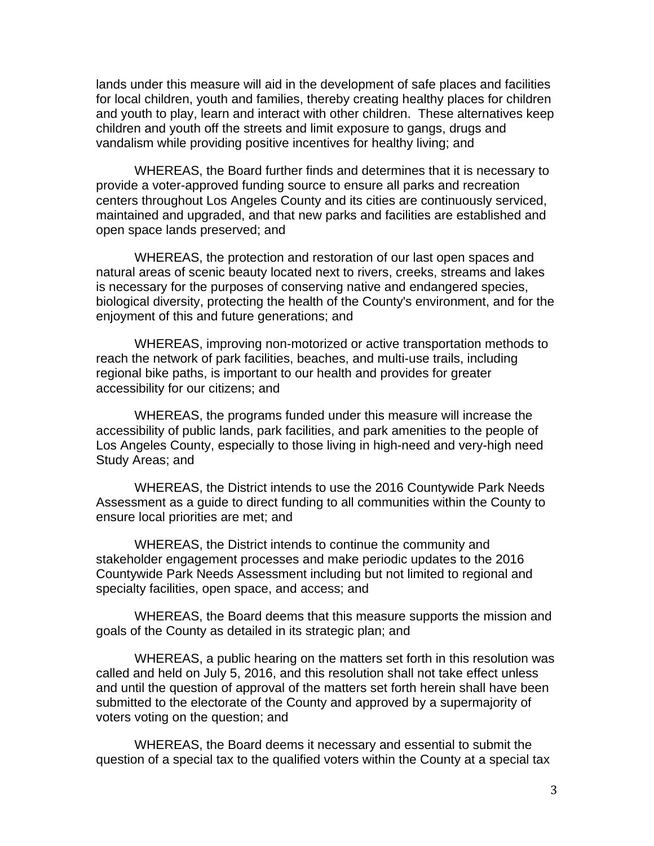lands under this measure will aid in the development of safe places and facilities for local children, youth and families, thereby creating healthy places for children and youth to play, learn and interact with other children. These alternatives keep children and youth off the streets and limit exposure to gangs, drugs and vandalism while providing positive incentives for healthy living; and

WHEREAS, the Board further finds and determines that it is necessary to provide a voter-approved funding source to ensure all parks and recreation centers throughout Los Angeles County and its cities are continuously serviced, maintained and upgraded, and that new parks and facilities are established and open space lands preserved; and

WHEREAS, the protection and restoration of our last open spaces and natural areas of scenic beauty located next to rivers, creeks, streams and lakes is necessary for the purposes of conserving native and endangered species, biological diversity, protecting the health of the County's environment, and for the enjoyment of this and future generations; and

WHEREAS, improving non-motorized or active transportation methods to reach the network of park facilities, beaches, and multi-use trails, including regional bike paths, is important to our health and provides for greater accessibility for our citizens; and

WHEREAS, the programs funded under this measure will increase the accessibility of public lands, park facilities, and park amenities to the people of Los Angeles County, especially to those living in high-need and very-high need Study Areas; and

WHEREAS, the District intends to use the 2016 Countywide Park Needs Assessment as a guide to direct funding to all communities within the County to ensure local priorities are met; and

WHEREAS, the District intends to continue the community and stakeholder engagement processes and make periodic updates to the 2016 Countywide Park Needs Assessment including but not limited to regional and specialty facilities, open space, and access; and

WHEREAS, the Board deems that this measure supports the mission and goals of the County as detailed in its strategic plan; and

WHEREAS, a public hearing on the matters set forth in this resolution was called and held on July 5, 2016, and this resolution shall not take effect unless and until the question of approval of the matters set forth herein shall have been submitted to the electorate of the County and approved by a supermajority of voters voting on the question; and

WHEREAS, the Board deems it necessary and essential to submit the question of a special tax to the qualified voters within the County at a special tax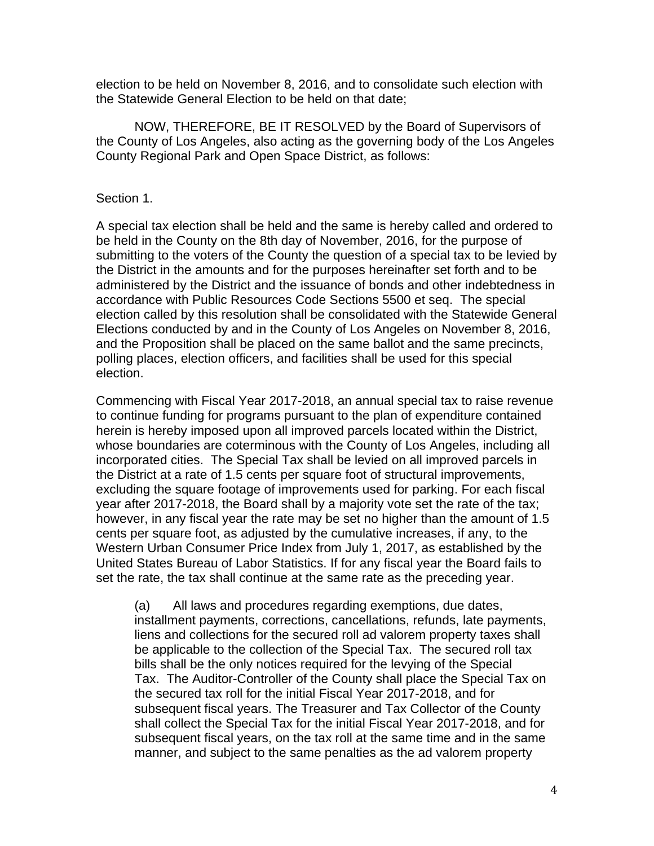election to be held on November 8, 2016, and to consolidate such election with the Statewide General Election to be held on that date;

NOW, THEREFORE, BE IT RESOLVED by the Board of Supervisors of the County of Los Angeles, also acting as the governing body of the Los Angeles County Regional Park and Open Space District, as follows:

#### Section 1.

A special tax election shall be held and the same is hereby called and ordered to be held in the County on the 8th day of November, 2016, for the purpose of submitting to the voters of the County the question of a special tax to be levied by the District in the amounts and for the purposes hereinafter set forth and to be administered by the District and the issuance of bonds and other indebtedness in accordance with Public Resources Code Sections 5500 et seq. The special election called by this resolution shall be consolidated with the Statewide General Elections conducted by and in the County of Los Angeles on November 8, 2016, and the Proposition shall be placed on the same ballot and the same precincts, polling places, election officers, and facilities shall be used for this special election.

Commencing with Fiscal Year 2017-2018, an annual special tax to raise revenue to continue funding for programs pursuant to the plan of expenditure contained herein is hereby imposed upon all improved parcels located within the District, whose boundaries are coterminous with the County of Los Angeles, including all incorporated cities. The Special Tax shall be levied on all improved parcels in the District at a rate of 1.5 cents per square foot of structural improvements, excluding the square footage of improvements used for parking. For each fiscal year after 2017-2018, the Board shall by a majority vote set the rate of the tax; however, in any fiscal year the rate may be set no higher than the amount of 1.5 cents per square foot, as adjusted by the cumulative increases, if any, to the Western Urban Consumer Price Index from July 1, 2017, as established by the United States Bureau of Labor Statistics. If for any fiscal year the Board fails to set the rate, the tax shall continue at the same rate as the preceding year.

(a) All laws and procedures regarding exemptions, due dates, installment payments, corrections, cancellations, refunds, late payments, liens and collections for the secured roll ad valorem property taxes shall be applicable to the collection of the Special Tax. The secured roll tax bills shall be the only notices required for the levying of the Special Tax. The Auditor-Controller of the County shall place the Special Tax on the secured tax roll for the initial Fiscal Year 2017-2018, and for subsequent fiscal years. The Treasurer and Tax Collector of the County shall collect the Special Tax for the initial Fiscal Year 2017-2018, and for subsequent fiscal years, on the tax roll at the same time and in the same manner, and subject to the same penalties as the ad valorem property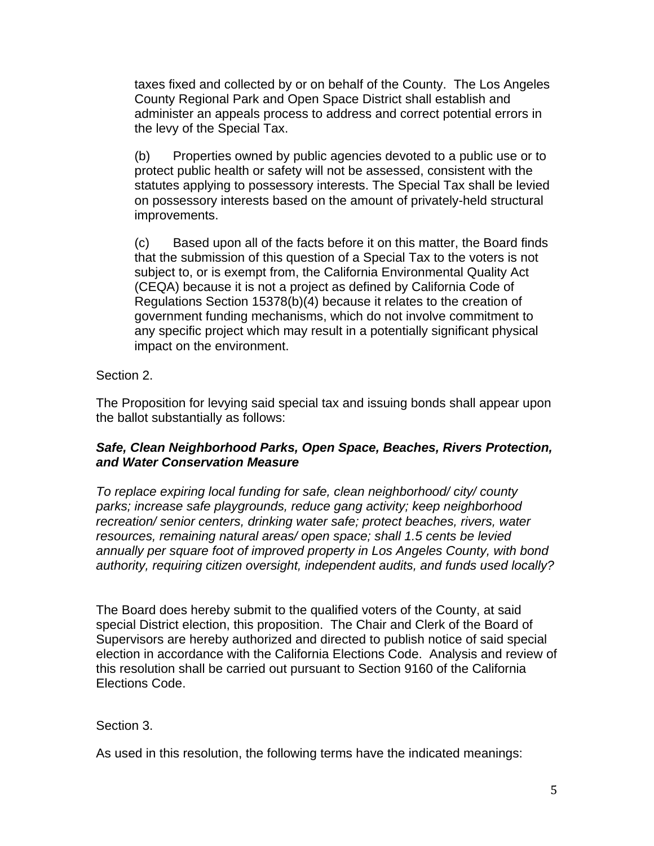taxes fixed and collected by or on behalf of the County. The Los Angeles County Regional Park and Open Space District shall establish and administer an appeals process to address and correct potential errors in the levy of the Special Tax.

(b) Properties owned by public agencies devoted to a public use or to protect public health or safety will not be assessed, consistent with the statutes applying to possessory interests. The Special Tax shall be levied on possessory interests based on the amount of privately-held structural improvements.

(c) Based upon all of the facts before it on this matter, the Board finds that the submission of this question of a Special Tax to the voters is not subject to, or is exempt from, the California Environmental Quality Act (CEQA) because it is not a project as defined by California Code of Regulations Section 15378(b)(4) because it relates to the creation of government funding mechanisms, which do not involve commitment to any specific project which may result in a potentially significant physical impact on the environment.

#### Section 2.

The Proposition for levying said special tax and issuing bonds shall appear upon the ballot substantially as follows:

#### *Safe, Clean Neighborhood Parks, Open Space, Beaches, Rivers Protection, and Water Conservation Measure*

*To replace expiring local funding for safe, clean neighborhood/ city/ county parks; increase safe playgrounds, reduce gang activity; keep neighborhood recreation/ senior centers, drinking water safe; protect beaches, rivers, water resources, remaining natural areas/ open space; shall 1.5 cents be levied annually per square foot of improved property in Los Angeles County, with bond authority, requiring citizen oversight, independent audits, and funds used locally?*

The Board does hereby submit to the qualified voters of the County, at said special District election, this proposition. The Chair and Clerk of the Board of Supervisors are hereby authorized and directed to publish notice of said special election in accordance with the California Elections Code. Analysis and review of this resolution shall be carried out pursuant to Section 9160 of the California Elections Code.

## Section 3.

As used in this resolution, the following terms have the indicated meanings: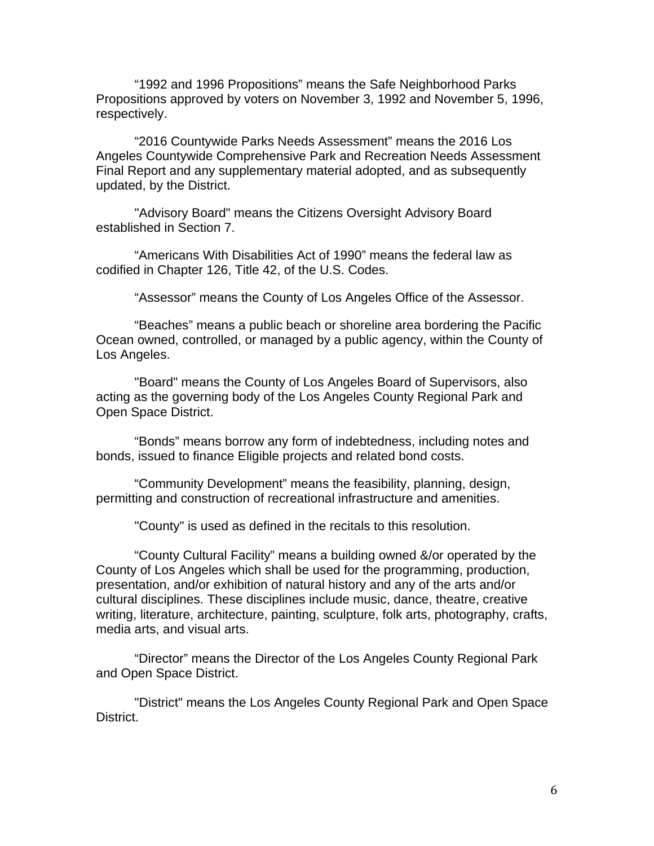"1992 and 1996 Propositions" means the Safe Neighborhood Parks Propositions approved by voters on November 3, 1992 and November 5, 1996, respectively.

"2016 Countywide Parks Needs Assessment" means the 2016 Los Angeles Countywide Comprehensive Park and Recreation Needs Assessment Final Report and any supplementary material adopted, and as subsequently updated, by the District.

"Advisory Board" means the Citizens Oversight Advisory Board established in Section 7.

"Americans With Disabilities Act of 1990" means the federal law as codified in Chapter 126, Title 42, of the U.S. Codes.

"Assessor" means the County of Los Angeles Office of the Assessor.

"Beaches" means a public beach or shoreline area bordering the Pacific Ocean owned, controlled, or managed by a public agency, within the County of Los Angeles.

"Board" means the County of Los Angeles Board of Supervisors, also acting as the governing body of the Los Angeles County Regional Park and Open Space District.

"Bonds" means borrow any form of indebtedness, including notes and bonds, issued to finance Eligible projects and related bond costs.

"Community Development" means the feasibility, planning, design, permitting and construction of recreational infrastructure and amenities.

"County" is used as defined in the recitals to this resolution.

"County Cultural Facility" means a building owned &/or operated by the County of Los Angeles which shall be used for the programming, production, presentation, and/or exhibition of natural history and any of the arts and/or cultural disciplines. These disciplines include music, dance, theatre, creative writing, literature, architecture, painting, sculpture, folk arts, photography, crafts, media arts, and visual arts.

"Director" means the Director of the Los Angeles County Regional Park and Open Space District.

"District" means the Los Angeles County Regional Park and Open Space District.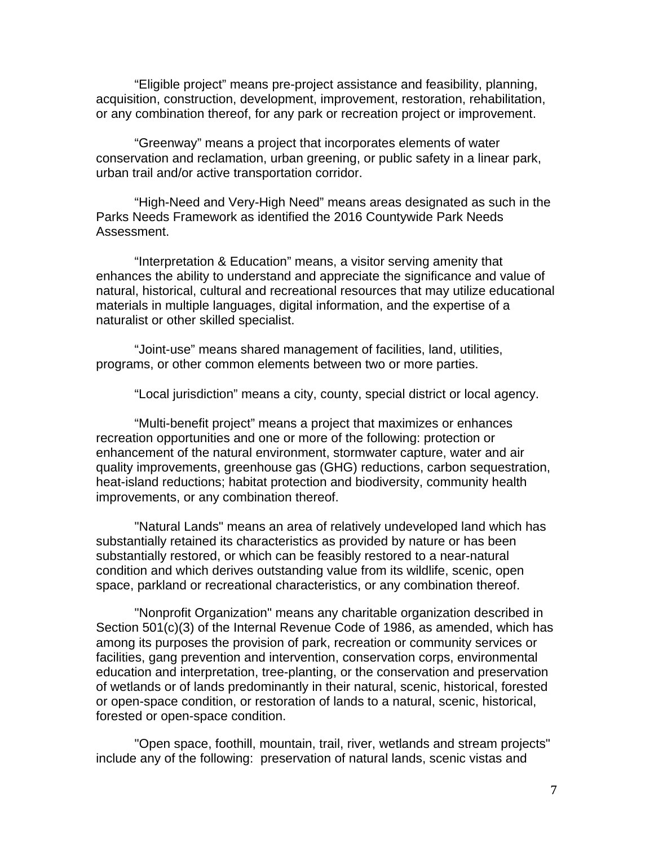"Eligible project" means pre-project assistance and feasibility, planning, acquisition, construction, development, improvement, restoration, rehabilitation, or any combination thereof, for any park or recreation project or improvement.

"Greenway" means a project that incorporates elements of water conservation and reclamation, urban greening, or public safety in a linear park, urban trail and/or active transportation corridor.

"High-Need and Very-High Need" means areas designated as such in the Parks Needs Framework as identified the 2016 Countywide Park Needs Assessment.

"Interpretation & Education" means, a visitor serving amenity that enhances the ability to understand and appreciate the significance and value of natural, historical, cultural and recreational resources that may utilize educational materials in multiple languages, digital information, and the expertise of a naturalist or other skilled specialist.

"Joint-use" means shared management of facilities, land, utilities, programs, or other common elements between two or more parties.

"Local jurisdiction" means a city, county, special district or local agency.

"Multi-benefit project" means a project that maximizes or enhances recreation opportunities and one or more of the following: protection or enhancement of the natural environment, stormwater capture, water and air quality improvements, greenhouse gas (GHG) reductions, carbon sequestration, heat-island reductions; habitat protection and biodiversity, community health improvements, or any combination thereof.

"Natural Lands" means an area of relatively undeveloped land which has substantially retained its characteristics as provided by nature or has been substantially restored, or which can be feasibly restored to a near-natural condition and which derives outstanding value from its wildlife, scenic, open space, parkland or recreational characteristics, or any combination thereof.

"Nonprofit Organization" means any charitable organization described in Section 501(c)(3) of the Internal Revenue Code of 1986, as amended, which has among its purposes the provision of park, recreation or community services or facilities, gang prevention and intervention, conservation corps, environmental education and interpretation, tree-planting, or the conservation and preservation of wetlands or of lands predominantly in their natural, scenic, historical, forested or open-space condition, or restoration of lands to a natural, scenic, historical, forested or open-space condition.

"Open space, foothill, mountain, trail, river, wetlands and stream projects" include any of the following: preservation of natural lands, scenic vistas and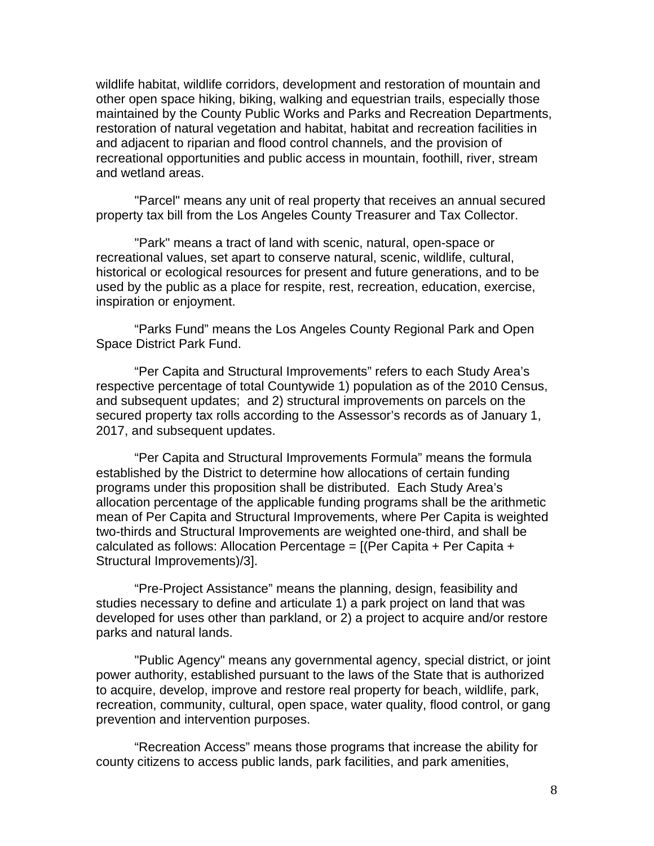wildlife habitat, wildlife corridors, development and restoration of mountain and other open space hiking, biking, walking and equestrian trails, especially those maintained by the County Public Works and Parks and Recreation Departments, restoration of natural vegetation and habitat, habitat and recreation facilities in and adjacent to riparian and flood control channels, and the provision of recreational opportunities and public access in mountain, foothill, river, stream and wetland areas.

"Parcel" means any unit of real property that receives an annual secured property tax bill from the Los Angeles County Treasurer and Tax Collector.

"Park" means a tract of land with scenic, natural, open-space or recreational values, set apart to conserve natural, scenic, wildlife, cultural, historical or ecological resources for present and future generations, and to be used by the public as a place for respite, rest, recreation, education, exercise, inspiration or enjoyment.

"Parks Fund" means the Los Angeles County Regional Park and Open Space District Park Fund.

"Per Capita and Structural Improvements" refers to each Study Area's respective percentage of total Countywide 1) population as of the 2010 Census, and subsequent updates; and 2) structural improvements on parcels on the secured property tax rolls according to the Assessor's records as of January 1, 2017, and subsequent updates.

"Per Capita and Structural Improvements Formula" means the formula established by the District to determine how allocations of certain funding programs under this proposition shall be distributed. Each Study Area's allocation percentage of the applicable funding programs shall be the arithmetic mean of Per Capita and Structural Improvements, where Per Capita is weighted two-thirds and Structural Improvements are weighted one-third, and shall be calculated as follows: Allocation Percentage =  $[$  (Per Capita + Per Capita + Structural Improvements)/3].

"Pre-Project Assistance" means the planning, design, feasibility and studies necessary to define and articulate 1) a park project on land that was developed for uses other than parkland, or 2) a project to acquire and/or restore parks and natural lands.

"Public Agency" means any governmental agency, special district, or joint power authority, established pursuant to the laws of the State that is authorized to acquire, develop, improve and restore real property for beach, wildlife, park, recreation, community, cultural, open space, water quality, flood control, or gang prevention and intervention purposes.

"Recreation Access" means those programs that increase the ability for county citizens to access public lands, park facilities, and park amenities,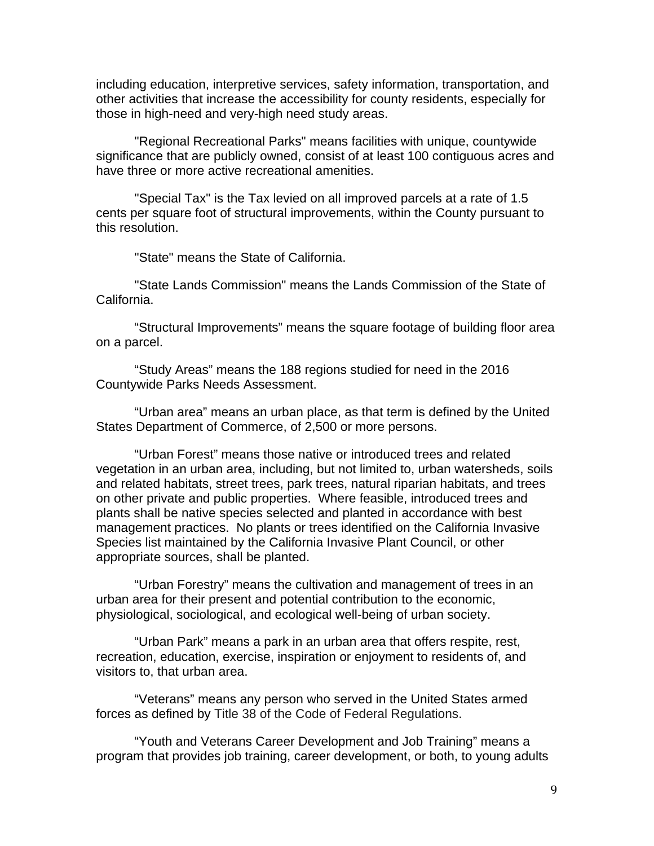including education, interpretive services, safety information, transportation, and other activities that increase the accessibility for county residents, especially for those in high-need and very-high need study areas.

"Regional Recreational Parks" means facilities with unique, countywide significance that are publicly owned, consist of at least 100 contiguous acres and have three or more active recreational amenities.

"Special Tax" is the Tax levied on all improved parcels at a rate of 1.5 cents per square foot of structural improvements, within the County pursuant to this resolution.

"State" means the State of California.

"State Lands Commission" means the Lands Commission of the State of California.

"Structural Improvements" means the square footage of building floor area on a parcel.

"Study Areas" means the 188 regions studied for need in the 2016 Countywide Parks Needs Assessment.

"Urban area" means an urban place, as that term is defined by the United States Department of Commerce, of 2,500 or more persons.

"Urban Forest" means those native or introduced trees and related vegetation in an urban area, including, but not limited to, urban watersheds, soils and related habitats, street trees, park trees, natural riparian habitats, and trees on other private and public properties. Where feasible, introduced trees and plants shall be native species selected and planted in accordance with best management practices. No plants or trees identified on the California Invasive Species list maintained by the California Invasive Plant Council, or other appropriate sources, shall be planted.

"Urban Forestry" means the cultivation and management of trees in an urban area for their present and potential contribution to the economic, physiological, sociological, and ecological well-being of urban society.

"Urban Park" means a park in an urban area that offers respite, rest, recreation, education, exercise, inspiration or enjoyment to residents of, and visitors to, that urban area.

"Veterans" means any person who served in the United States armed forces as defined by Title 38 of the Code of Federal Regulations.

"Youth and Veterans Career Development and Job Training" means a program that provides job training, career development, or both, to young adults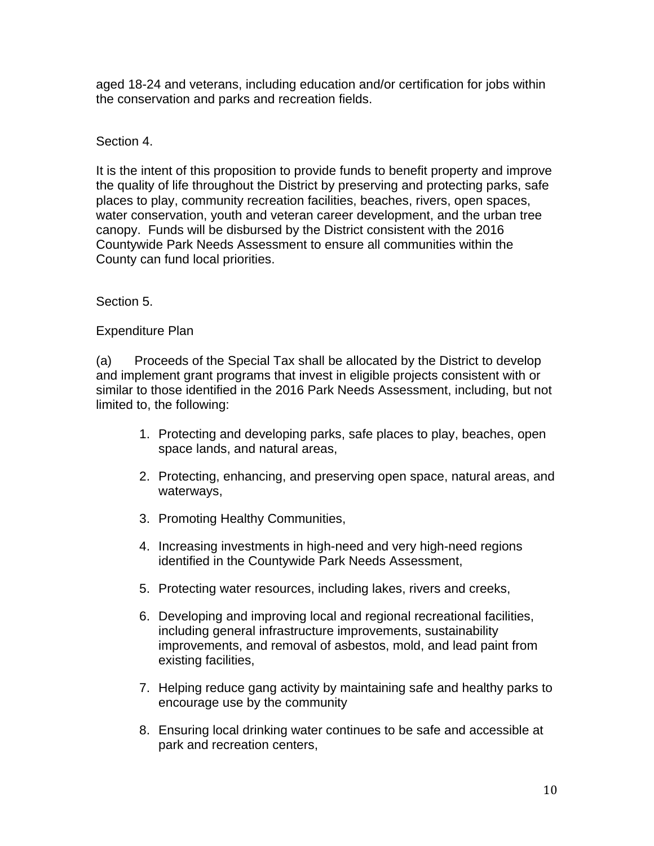aged 18-24 and veterans, including education and/or certification for jobs within the conservation and parks and recreation fields.

# Section 4.

It is the intent of this proposition to provide funds to benefit property and improve the quality of life throughout the District by preserving and protecting parks, safe places to play, community recreation facilities, beaches, rivers, open spaces, water conservation, youth and veteran career development, and the urban tree canopy. Funds will be disbursed by the District consistent with the 2016 Countywide Park Needs Assessment to ensure all communities within the County can fund local priorities.

## Section 5.

## Expenditure Plan

(a) Proceeds of the Special Tax shall be allocated by the District to develop and implement grant programs that invest in eligible projects consistent with or similar to those identified in the 2016 Park Needs Assessment, including, but not limited to, the following:

- 1. Protecting and developing parks, safe places to play, beaches, open space lands, and natural areas,
- 2. Protecting, enhancing, and preserving open space, natural areas, and waterways,
- 3. Promoting Healthy Communities,
- 4. Increasing investments in high-need and very high-need regions identified in the Countywide Park Needs Assessment,
- 5. Protecting water resources, including lakes, rivers and creeks,
- 6. Developing and improving local and regional recreational facilities, including general infrastructure improvements, sustainability improvements, and removal of asbestos, mold, and lead paint from existing facilities,
- 7. Helping reduce gang activity by maintaining safe and healthy parks to encourage use by the community
- 8. Ensuring local drinking water continues to be safe and accessible at park and recreation centers,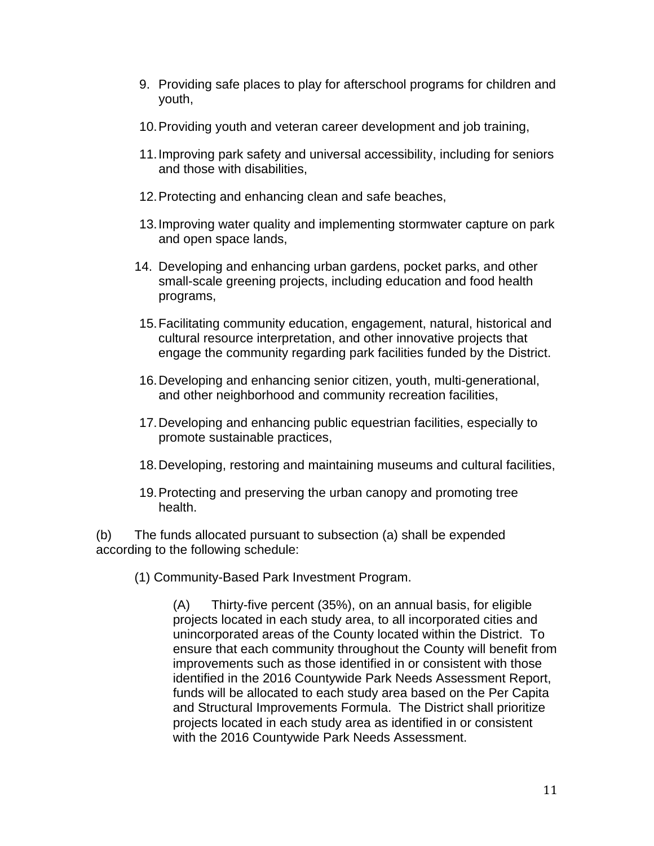- 9. Providing safe places to play for afterschool programs for children and youth,
- 10. Providing youth and veteran career development and job training,
- 11. Improving park safety and universal accessibility, including for seniors and those with disabilities,
- 12. Protecting and enhancing clean and safe beaches,
- 13. Improving water quality and implementing stormwater capture on park and open space lands,
- 14. Developing and enhancing urban gardens, pocket parks, and other small-scale greening projects, including education and food health programs,
- 15. Facilitating community education, engagement, natural, historical and cultural resource interpretation, and other innovative projects that engage the community regarding park facilities funded by the District.
- 16. Developing and enhancing senior citizen, youth, multi-generational, and other neighborhood and community recreation facilities,
- 17. Developing and enhancing public equestrian facilities, especially to promote sustainable practices,
- 18. Developing, restoring and maintaining museums and cultural facilities,
- 19. Protecting and preserving the urban canopy and promoting tree health.

(b) The funds allocated pursuant to subsection (a) shall be expended according to the following schedule:

(1) Community-Based Park Investment Program.

(A) Thirty-five percent (35%), on an annual basis, for eligible projects located in each study area, to all incorporated cities and unincorporated areas of the County located within the District. To ensure that each community throughout the County will benefit from improvements such as those identified in or consistent with those identified in the 2016 Countywide Park Needs Assessment Report, funds will be allocated to each study area based on the Per Capita and Structural Improvements Formula. The District shall prioritize projects located in each study area as identified in or consistent with the 2016 Countywide Park Needs Assessment.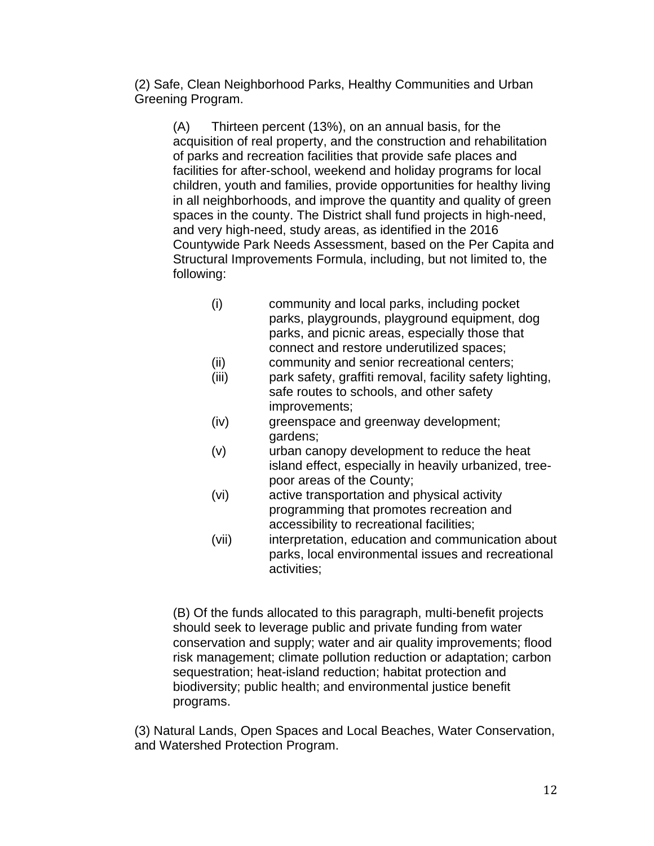(2) Safe, Clean Neighborhood Parks, Healthy Communities and Urban Greening Program.

(A) Thirteen percent (13%), on an annual basis, for the acquisition of real property, and the construction and rehabilitation of parks and recreation facilities that provide safe places and facilities for after-school, weekend and holiday programs for local children, youth and families, provide opportunities for healthy living in all neighborhoods, and improve the quantity and quality of green spaces in the county. The District shall fund projects in high-need, and very high-need, study areas, as identified in the 2016 Countywide Park Needs Assessment, based on the Per Capita and Structural Improvements Formula, including, but not limited to, the following:

- (i) community and local parks, including pocket parks, playgrounds, playground equipment, dog parks, and picnic areas, especially those that connect and restore underutilized spaces;
- (ii) community and senior recreational centers;
- (iii) park safety, graffiti removal, facility safety lighting, safe routes to schools, and other safety improvements;
- (iv) greenspace and greenway development; gardens;
- (v) urban canopy development to reduce the heat island effect, especially in heavily urbanized, treepoor areas of the County;
- (vi) active transportation and physical activity programming that promotes recreation and accessibility to recreational facilities;
- (vii) interpretation, education and communication about parks, local environmental issues and recreational activities;

(B) Of the funds allocated to this paragraph, multi-benefit projects should seek to leverage public and private funding from water conservation and supply; water and air quality improvements; flood risk management; climate pollution reduction or adaptation; carbon sequestration; heat-island reduction; habitat protection and biodiversity; public health; and environmental justice benefit programs.

(3) Natural Lands, Open Spaces and Local Beaches, Water Conservation, and Watershed Protection Program.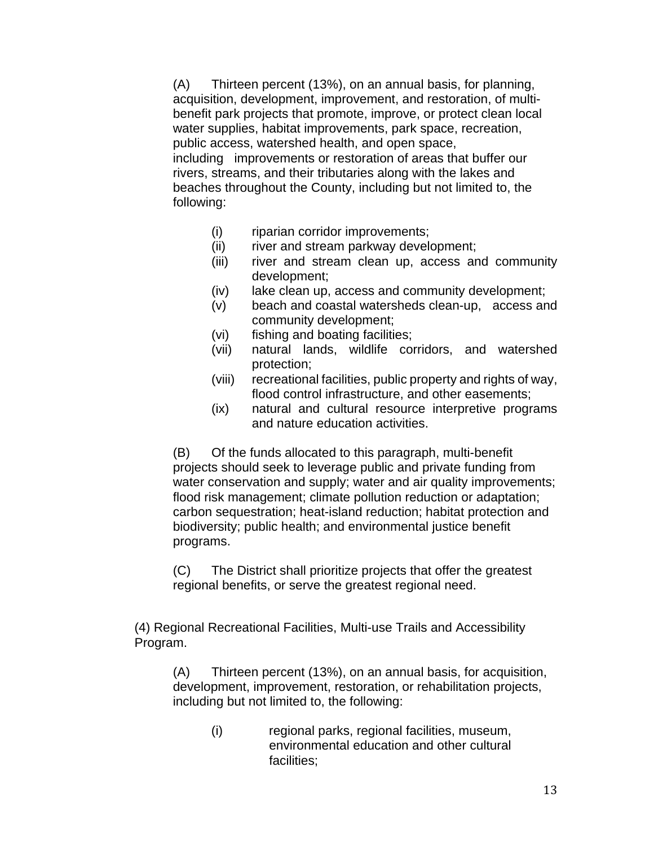(A) Thirteen percent (13%), on an annual basis, for planning, acquisition, development, improvement, and restoration, of multibenefit park projects that promote, improve, or protect clean local water supplies, habitat improvements, park space, recreation, public access, watershed health, and open space, including improvements or restoration of areas that buffer our rivers, streams, and their tributaries along with the lakes and beaches throughout the County, including but not limited to, the following:

- (i) riparian corridor improvements;
- (ii) river and stream parkway development;
- (iii) river and stream clean up, access and community development;
- (iv) lake clean up, access and community development;
- (v) beach and coastal watersheds clean-up, access and community development;
- (vi) fishing and boating facilities;
- (vii) natural lands, wildlife corridors, and watershed protection;
- (viii) recreational facilities, public property and rights of way, flood control infrastructure, and other easements;
- (ix) natural and cultural resource interpretive programs and nature education activities.

(B) Of the funds allocated to this paragraph, multi-benefit projects should seek to leverage public and private funding from water conservation and supply; water and air quality improvements; flood risk management; climate pollution reduction or adaptation; carbon sequestration; heat-island reduction; habitat protection and biodiversity; public health; and environmental justice benefit programs.

(C) The District shall prioritize projects that offer the greatest regional benefits, or serve the greatest regional need.

(4) Regional Recreational Facilities, Multi-use Trails and Accessibility Program.

(A) Thirteen percent (13%), on an annual basis, for acquisition, development, improvement, restoration, or rehabilitation projects, including but not limited to, the following:

> (i) regional parks, regional facilities, museum, environmental education and other cultural facilities;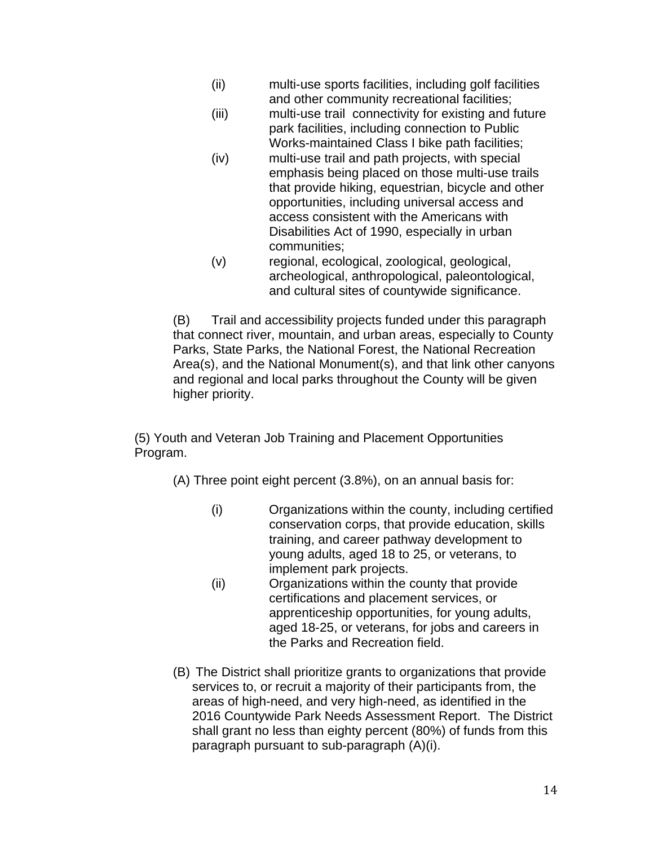- (ii) multi-use sports facilities, including golf facilities and other community recreational facilities;
- (iii) multi-use trail connectivity for existing and future park facilities, including connection to Public Works-maintained Class I bike path facilities;
- (iv) multi-use trail and path projects, with special emphasis being placed on those multi-use trails that provide hiking, equestrian, bicycle and other opportunities, including universal access and access consistent with the Americans with Disabilities Act of 1990, especially in urban communities;
- (v) regional, ecological, zoological, geological, archeological, anthropological, paleontological, and cultural sites of countywide significance.

(B) Trail and accessibility projects funded under this paragraph that connect river, mountain, and urban areas, especially to County Parks, State Parks, the National Forest, the National Recreation Area(s), and the National Monument(s), and that link other canyons and regional and local parks throughout the County will be given higher priority.

(5) Youth and Veteran Job Training and Placement Opportunities Program.

(A) Three point eight percent (3.8%), on an annual basis for:

- (i) Organizations within the county, including certified conservation corps, that provide education, skills training, and career pathway development to young adults, aged 18 to 25, or veterans, to implement park projects.
- (ii) Organizations within the county that provide certifications and placement services, or apprenticeship opportunities, for young adults, aged 18-25, or veterans, for jobs and careers in the Parks and Recreation field.
- (B) The District shall prioritize grants to organizations that provide services to, or recruit a majority of their participants from, the areas of high-need, and very high-need, as identified in the 2016 Countywide Park Needs Assessment Report. The District shall grant no less than eighty percent (80%) of funds from this paragraph pursuant to sub-paragraph (A)(i).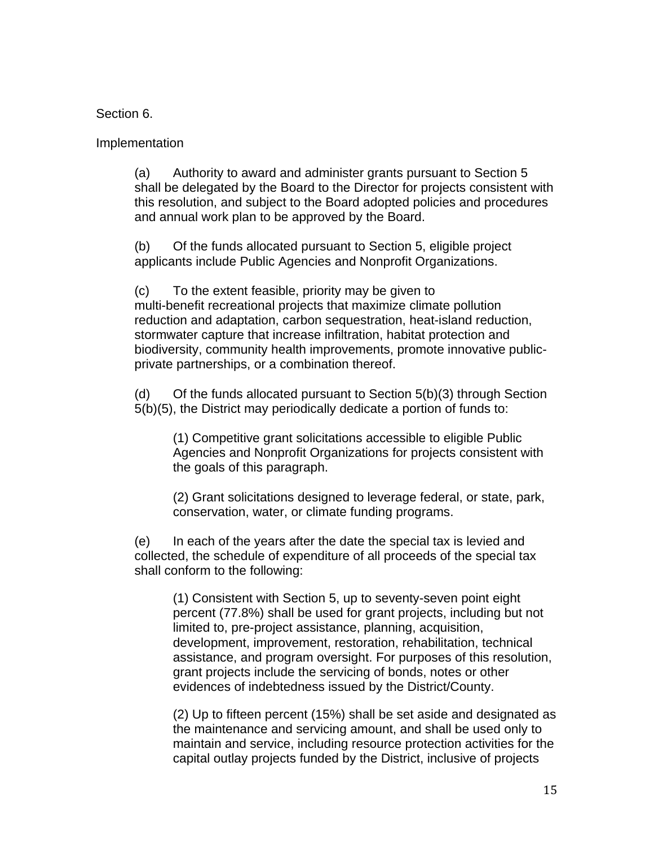#### Section 6.

#### Implementation

(a) Authority to award and administer grants pursuant to Section 5 shall be delegated by the Board to the Director for projects consistent with this resolution, and subject to the Board adopted policies and procedures and annual work plan to be approved by the Board.

(b) Of the funds allocated pursuant to Section 5, eligible project applicants include Public Agencies and Nonprofit Organizations.

(c) To the extent feasible, priority may be given to multi-benefit recreational projects that maximize climate pollution reduction and adaptation, carbon sequestration, heat-island reduction, stormwater capture that increase infiltration, habitat protection and biodiversity, community health improvements, promote innovative publicprivate partnerships, or a combination thereof.

(d) Of the funds allocated pursuant to Section 5(b)(3) through Section 5(b)(5), the District may periodically dedicate a portion of funds to:

(1) Competitive grant solicitations accessible to eligible Public Agencies and Nonprofit Organizations for projects consistent with the goals of this paragraph.

(2) Grant solicitations designed to leverage federal, or state, park, conservation, water, or climate funding programs.

(e) In each of the years after the date the special tax is levied and collected, the schedule of expenditure of all proceeds of the special tax shall conform to the following:

(1) Consistent with Section 5, up to seventy-seven point eight percent (77.8%) shall be used for grant projects, including but not limited to, pre-project assistance, planning, acquisition, development, improvement, restoration, rehabilitation, technical assistance, and program oversight. For purposes of this resolution, grant projects include the servicing of bonds, notes or other evidences of indebtedness issued by the District/County.

(2) Up to fifteen percent (15%) shall be set aside and designated as the maintenance and servicing amount, and shall be used only to maintain and service, including resource protection activities for the capital outlay projects funded by the District, inclusive of projects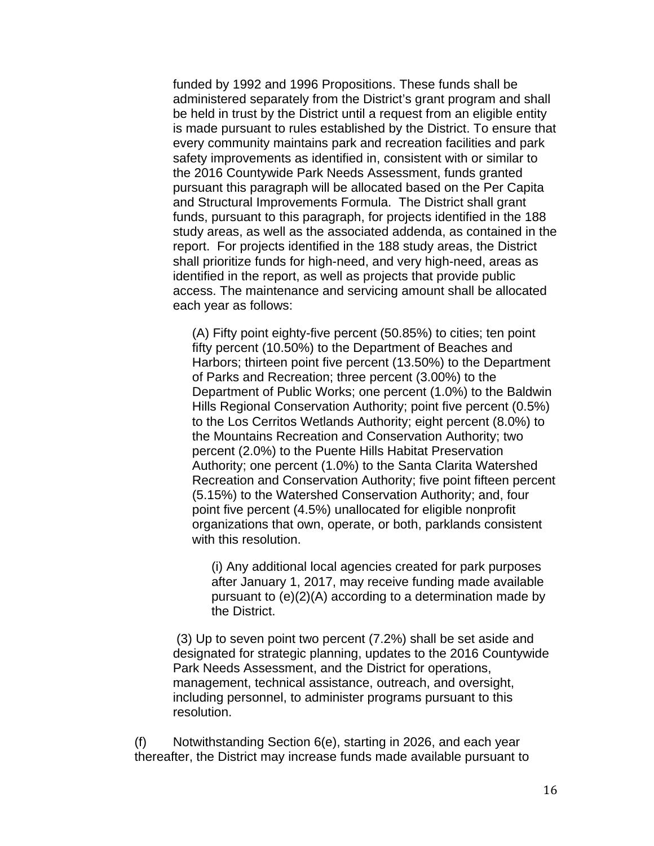funded by 1992 and 1996 Propositions. These funds shall be administered separately from the District's grant program and shall be held in trust by the District until a request from an eligible entity is made pursuant to rules established by the District. To ensure that every community maintains park and recreation facilities and park safety improvements as identified in, consistent with or similar to the 2016 Countywide Park Needs Assessment, funds granted pursuant this paragraph will be allocated based on the Per Capita and Structural Improvements Formula. The District shall grant funds, pursuant to this paragraph, for projects identified in the 188 study areas, as well as the associated addenda, as contained in the report. For projects identified in the 188 study areas, the District shall prioritize funds for high-need, and very high-need, areas as identified in the report, as well as projects that provide public access. The maintenance and servicing amount shall be allocated each year as follows:

(A) Fifty point eighty-five percent (50.85%) to cities; ten point fifty percent (10.50%) to the Department of Beaches and Harbors; thirteen point five percent (13.50%) to the Department of Parks and Recreation; three percent (3.00%) to the Department of Public Works; one percent (1.0%) to the Baldwin Hills Regional Conservation Authority; point five percent (0.5%) to the Los Cerritos Wetlands Authority; eight percent (8.0%) to the Mountains Recreation and Conservation Authority; two percent (2.0%) to the Puente Hills Habitat Preservation Authority; one percent (1.0%) to the Santa Clarita Watershed Recreation and Conservation Authority; five point fifteen percent (5.15%) to the Watershed Conservation Authority; and, four point five percent (4.5%) unallocated for eligible nonprofit organizations that own, operate, or both, parklands consistent with this resolution.

(i) Any additional local agencies created for park purposes after January 1, 2017, may receive funding made available pursuant to (e)(2)(A) according to a determination made by the District.

 (3) Up to seven point two percent (7.2%) shall be set aside and designated for strategic planning, updates to the 2016 Countywide Park Needs Assessment, and the District for operations, management, technical assistance, outreach, and oversight, including personnel, to administer programs pursuant to this resolution.

(f) Notwithstanding Section 6(e), starting in 2026, and each year thereafter, the District may increase funds made available pursuant to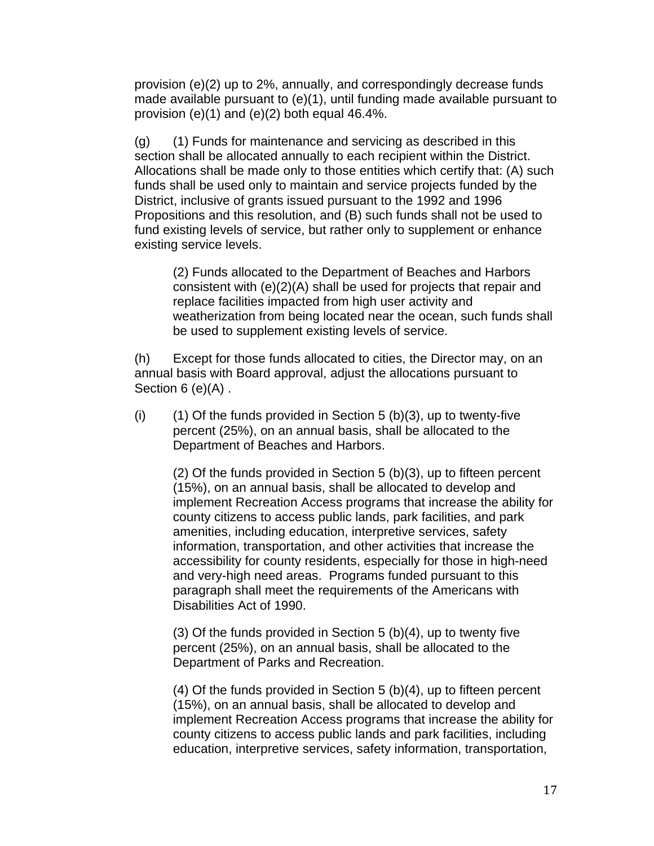provision (e)(2) up to 2%, annually, and correspondingly decrease funds made available pursuant to (e)(1), until funding made available pursuant to provision (e)(1) and (e)(2) both equal 46.4%.

(g) (1) Funds for maintenance and servicing as described in this section shall be allocated annually to each recipient within the District. Allocations shall be made only to those entities which certify that: (A) such funds shall be used only to maintain and service projects funded by the District, inclusive of grants issued pursuant to the 1992 and 1996 Propositions and this resolution, and (B) such funds shall not be used to fund existing levels of service, but rather only to supplement or enhance existing service levels.

(2) Funds allocated to the Department of Beaches and Harbors consistent with (e)(2)(A) shall be used for projects that repair and replace facilities impacted from high user activity and weatherization from being located near the ocean, such funds shall be used to supplement existing levels of service.

(h) Except for those funds allocated to cities, the Director may, on an annual basis with Board approval, adjust the allocations pursuant to Section 6 (e)(A).

 $(i)$  (1) Of the funds provided in Section 5 (b)(3), up to twenty-five percent (25%), on an annual basis, shall be allocated to the Department of Beaches and Harbors.

(2) Of the funds provided in Section 5 (b)(3), up to fifteen percent (15%), on an annual basis, shall be allocated to develop and implement Recreation Access programs that increase the ability for county citizens to access public lands, park facilities, and park amenities, including education, interpretive services, safety information, transportation, and other activities that increase the accessibility for county residents, especially for those in high-need and very-high need areas. Programs funded pursuant to this paragraph shall meet the requirements of the Americans with Disabilities Act of 1990.

(3) Of the funds provided in Section 5 (b)(4), up to twenty five percent (25%), on an annual basis, shall be allocated to the Department of Parks and Recreation.

(4) Of the funds provided in Section 5 (b)(4), up to fifteen percent (15%), on an annual basis, shall be allocated to develop and implement Recreation Access programs that increase the ability for county citizens to access public lands and park facilities, including education, interpretive services, safety information, transportation,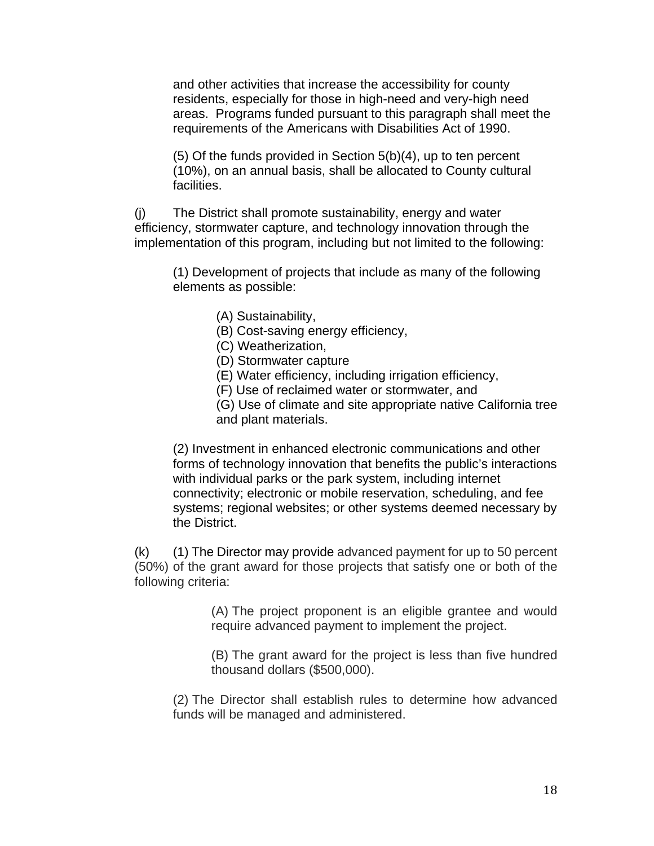and other activities that increase the accessibility for county residents, especially for those in high-need and very-high need areas. Programs funded pursuant to this paragraph shall meet the requirements of the Americans with Disabilities Act of 1990.

(5) Of the funds provided in Section 5(b)(4), up to ten percent (10%), on an annual basis, shall be allocated to County cultural facilities.

(j) The District shall promote sustainability, energy and water efficiency, stormwater capture, and technology innovation through the implementation of this program, including but not limited to the following:

(1) Development of projects that include as many of the following elements as possible:

- (A) Sustainability,
- (B) Cost-saving energy efficiency,
- (C) Weatherization,
- (D) Stormwater capture
- (E) Water efficiency, including irrigation efficiency,
- (F) Use of reclaimed water or stormwater, and

(G) Use of climate and site appropriate native California tree and plant materials.

(2) Investment in enhanced electronic communications and other forms of technology innovation that benefits the public's interactions with individual parks or the park system, including internet connectivity; electronic or mobile reservation, scheduling, and fee systems; regional websites; or other systems deemed necessary by the District.

(k) (1) The Director may provide advanced payment for up to 50 percent (50%) of the grant award for those projects that satisfy one or both of the following criteria:

> (A) The project proponent is an eligible grantee and would require advanced payment to implement the project.

> (B) The grant award for the project is less than five hundred thousand dollars (\$500,000).

(2) The Director shall establish rules to determine how advanced funds will be managed and administered.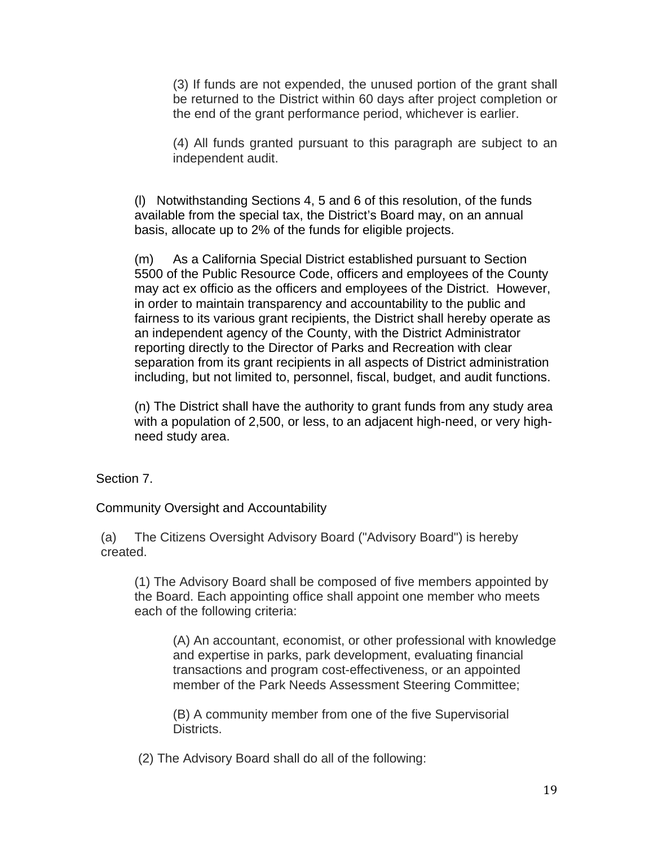(3) If funds are not expended, the unused portion of the grant shall be returned to the District within 60 days after project completion or the end of the grant performance period, whichever is earlier.

(4) All funds granted pursuant to this paragraph are subject to an independent audit.

(l) Notwithstanding Sections 4, 5 and 6 of this resolution, of the funds available from the special tax, the District's Board may, on an annual basis, allocate up to 2% of the funds for eligible projects.

(m) As a California Special District established pursuant to Section 5500 of the Public Resource Code, officers and employees of the County may act ex officio as the officers and employees of the District. However, in order to maintain transparency and accountability to the public and fairness to its various grant recipients, the District shall hereby operate as an independent agency of the County, with the District Administrator reporting directly to the Director of Parks and Recreation with clear separation from its grant recipients in all aspects of District administration including, but not limited to, personnel, fiscal, budget, and audit functions.

(n) The District shall have the authority to grant funds from any study area with a population of 2,500, or less, to an adjacent high-need, or very highneed study area.

Section 7.

Community Oversight and Accountability

(a) The Citizens Oversight Advisory Board ("Advisory Board") is hereby created.

(1) The Advisory Board shall be composed of five members appointed by the Board. Each appointing office shall appoint one member who meets each of the following criteria:

(A) An accountant, economist, or other professional with knowledge and expertise in parks, park development, evaluating financial transactions and program cost-effectiveness, or an appointed member of the Park Needs Assessment Steering Committee;

(B) A community member from one of the five Supervisorial Districts.

(2) The Advisory Board shall do all of the following: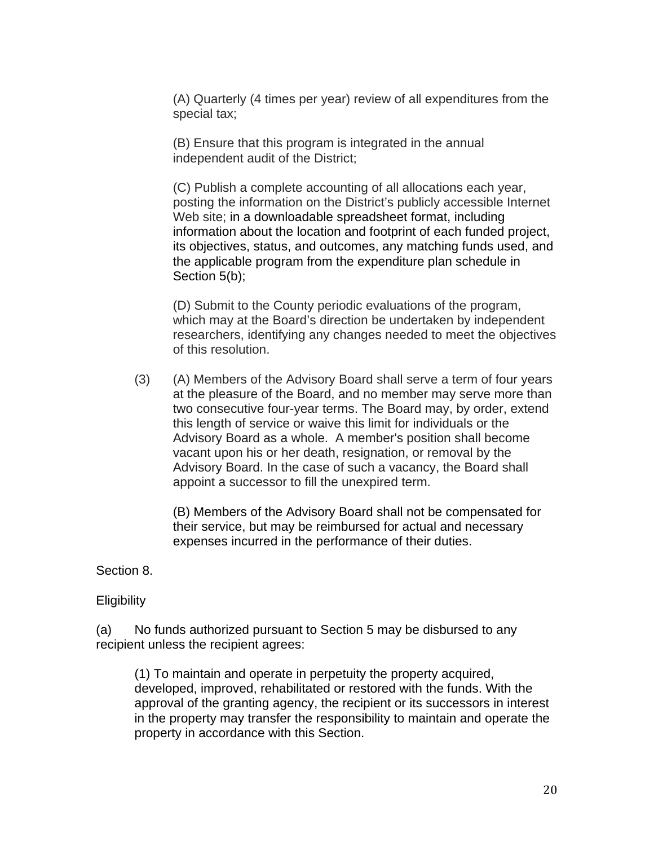(A) Quarterly (4 times per year) review of all expenditures from the special tax;

(B) Ensure that this program is integrated in the annual independent audit of the District;

(C) Publish a complete accounting of all allocations each year, posting the information on the District's publicly accessible Internet Web site; in a downloadable spreadsheet format, including information about the location and footprint of each funded project, its objectives, status, and outcomes, any matching funds used, and the applicable program from the expenditure plan schedule in Section 5(b);

(D) Submit to the County periodic evaluations of the program, which may at the Board's direction be undertaken by independent researchers, identifying any changes needed to meet the objectives of this resolution.

(3) (A) Members of the Advisory Board shall serve a term of four years at the pleasure of the Board, and no member may serve more than two consecutive four-year terms. The Board may, by order, extend this length of service or waive this limit for individuals or the Advisory Board as a whole. A member's position shall become vacant upon his or her death, resignation, or removal by the Advisory Board. In the case of such a vacancy, the Board shall appoint a successor to fill the unexpired term.

(B) Members of the Advisory Board shall not be compensated for their service, but may be reimbursed for actual and necessary expenses incurred in the performance of their duties.

Section 8.

**Eligibility** 

(a) No funds authorized pursuant to Section 5 may be disbursed to any recipient unless the recipient agrees:

(1) To maintain and operate in perpetuity the property acquired, developed, improved, rehabilitated or restored with the funds. With the approval of the granting agency, the recipient or its successors in interest in the property may transfer the responsibility to maintain and operate the property in accordance with this Section.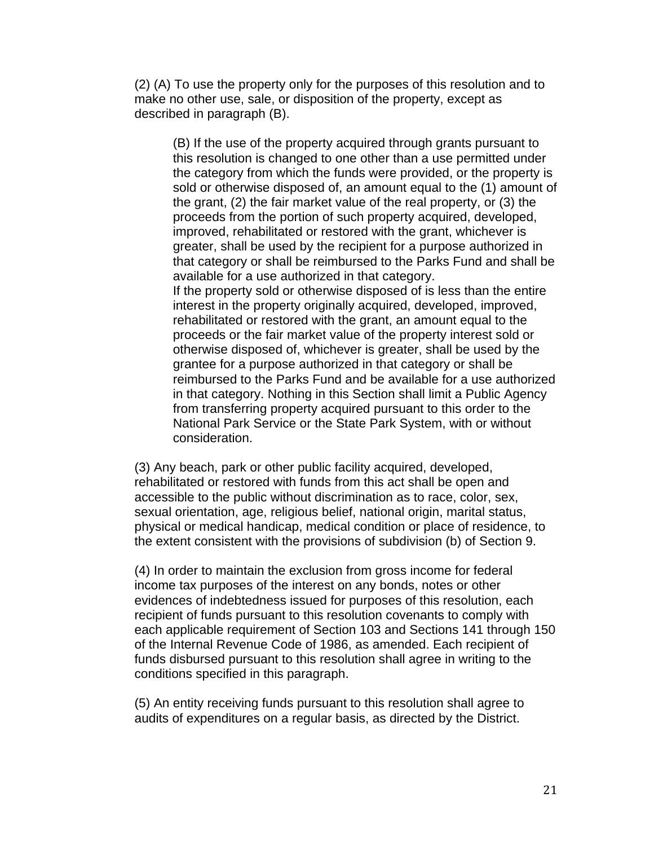(2) (A) To use the property only for the purposes of this resolution and to make no other use, sale, or disposition of the property, except as described in paragraph (B).

(B) If the use of the property acquired through grants pursuant to this resolution is changed to one other than a use permitted under the category from which the funds were provided, or the property is sold or otherwise disposed of, an amount equal to the (1) amount of the grant, (2) the fair market value of the real property, or (3) the proceeds from the portion of such property acquired, developed, improved, rehabilitated or restored with the grant, whichever is greater, shall be used by the recipient for a purpose authorized in that category or shall be reimbursed to the Parks Fund and shall be available for a use authorized in that category. If the property sold or otherwise disposed of is less than the entire interest in the property originally acquired, developed, improved, rehabilitated or restored with the grant, an amount equal to the proceeds or the fair market value of the property interest sold or otherwise disposed of, whichever is greater, shall be used by the grantee for a purpose authorized in that category or shall be reimbursed to the Parks Fund and be available for a use authorized in that category. Nothing in this Section shall limit a Public Agency from transferring property acquired pursuant to this order to the National Park Service or the State Park System, with or without consideration.

(3) Any beach, park or other public facility acquired, developed, rehabilitated or restored with funds from this act shall be open and accessible to the public without discrimination as to race, color, sex, sexual orientation, age, religious belief, national origin, marital status, physical or medical handicap, medical condition or place of residence, to the extent consistent with the provisions of subdivision (b) of Section 9.

(4) In order to maintain the exclusion from gross income for federal income tax purposes of the interest on any bonds, notes or other evidences of indebtedness issued for purposes of this resolution, each recipient of funds pursuant to this resolution covenants to comply with each applicable requirement of Section 103 and Sections 141 through 150 of the Internal Revenue Code of 1986, as amended. Each recipient of funds disbursed pursuant to this resolution shall agree in writing to the conditions specified in this paragraph.

(5) An entity receiving funds pursuant to this resolution shall agree to audits of expenditures on a regular basis, as directed by the District.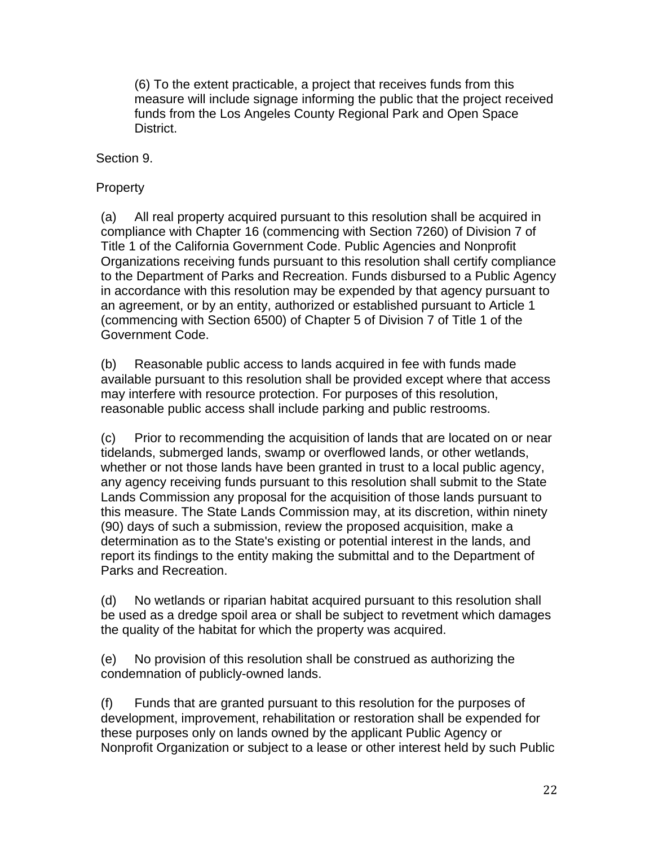(6) To the extent practicable, a project that receives funds from this measure will include signage informing the public that the project received funds from the Los Angeles County Regional Park and Open Space District.

Section 9.

## **Property**

(a) All real property acquired pursuant to this resolution shall be acquired in compliance with Chapter 16 (commencing with Section 7260) of Division 7 of Title 1 of the California Government Code. Public Agencies and Nonprofit Organizations receiving funds pursuant to this resolution shall certify compliance to the Department of Parks and Recreation. Funds disbursed to a Public Agency in accordance with this resolution may be expended by that agency pursuant to an agreement, or by an entity, authorized or established pursuant to Article 1 (commencing with Section 6500) of Chapter 5 of Division 7 of Title 1 of the Government Code.

(b) Reasonable public access to lands acquired in fee with funds made available pursuant to this resolution shall be provided except where that access may interfere with resource protection. For purposes of this resolution, reasonable public access shall include parking and public restrooms.

(c) Prior to recommending the acquisition of lands that are located on or near tidelands, submerged lands, swamp or overflowed lands, or other wetlands, whether or not those lands have been granted in trust to a local public agency, any agency receiving funds pursuant to this resolution shall submit to the State Lands Commission any proposal for the acquisition of those lands pursuant to this measure. The State Lands Commission may, at its discretion, within ninety (90) days of such a submission, review the proposed acquisition, make a determination as to the State's existing or potential interest in the lands, and report its findings to the entity making the submittal and to the Department of Parks and Recreation.

(d) No wetlands or riparian habitat acquired pursuant to this resolution shall be used as a dredge spoil area or shall be subject to revetment which damages the quality of the habitat for which the property was acquired.

(e) No provision of this resolution shall be construed as authorizing the condemnation of publicly-owned lands.

(f) Funds that are granted pursuant to this resolution for the purposes of development, improvement, rehabilitation or restoration shall be expended for these purposes only on lands owned by the applicant Public Agency or Nonprofit Organization or subject to a lease or other interest held by such Public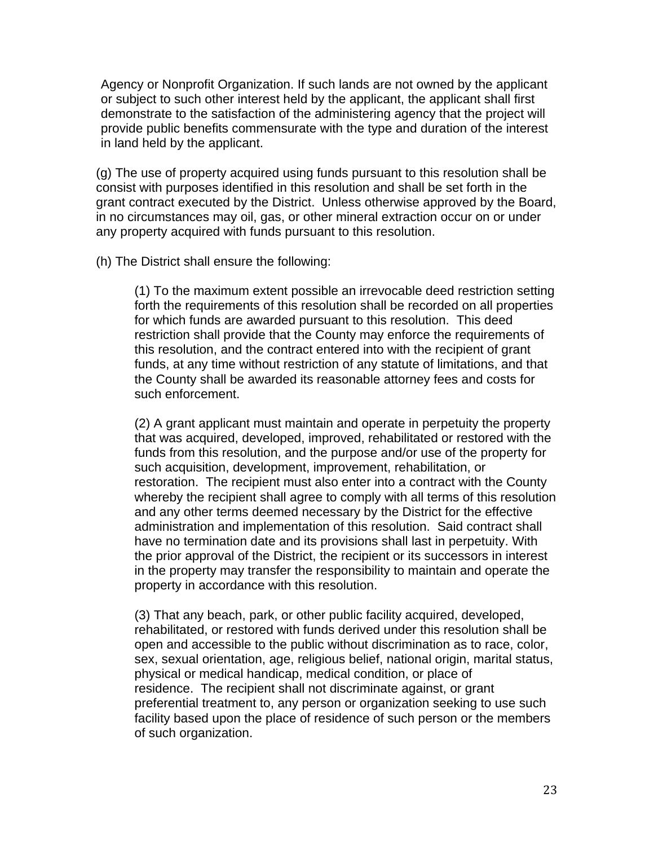Agency or Nonprofit Organization. If such lands are not owned by the applicant or subject to such other interest held by the applicant, the applicant shall first demonstrate to the satisfaction of the administering agency that the project will provide public benefits commensurate with the type and duration of the interest in land held by the applicant.

(g) The use of property acquired using funds pursuant to this resolution shall be consist with purposes identified in this resolution and shall be set forth in the grant contract executed by the District. Unless otherwise approved by the Board, in no circumstances may oil, gas, or other mineral extraction occur on or under any property acquired with funds pursuant to this resolution.

(h) The District shall ensure the following:

(1) To the maximum extent possible an irrevocable deed restriction setting forth the requirements of this resolution shall be recorded on all properties for which funds are awarded pursuant to this resolution. This deed restriction shall provide that the County may enforce the requirements of this resolution, and the contract entered into with the recipient of grant funds, at any time without restriction of any statute of limitations, and that the County shall be awarded its reasonable attorney fees and costs for such enforcement.

(2) A grant applicant must maintain and operate in perpetuity the property that was acquired, developed, improved, rehabilitated or restored with the funds from this resolution, and the purpose and/or use of the property for such acquisition, development, improvement, rehabilitation, or restoration. The recipient must also enter into a contract with the County whereby the recipient shall agree to comply with all terms of this resolution and any other terms deemed necessary by the District for the effective administration and implementation of this resolution. Said contract shall have no termination date and its provisions shall last in perpetuity. With the prior approval of the District, the recipient or its successors in interest in the property may transfer the responsibility to maintain and operate the property in accordance with this resolution.

(3) That any beach, park, or other public facility acquired, developed, rehabilitated, or restored with funds derived under this resolution shall be open and accessible to the public without discrimination as to race, color, sex, sexual orientation, age, religious belief, national origin, marital status, physical or medical handicap, medical condition, or place of residence. The recipient shall not discriminate against, or grant preferential treatment to, any person or organization seeking to use such facility based upon the place of residence of such person or the members of such organization.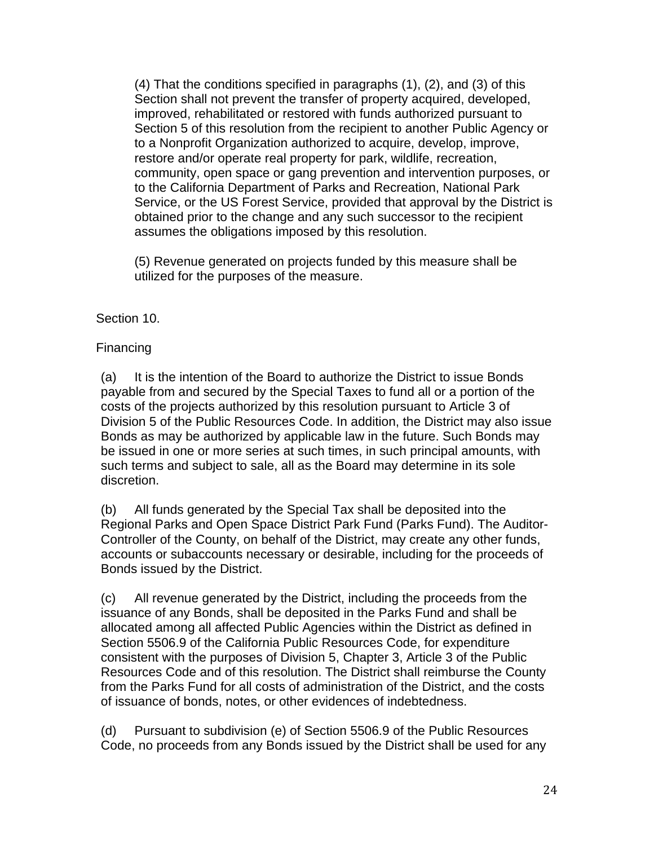(4) That the conditions specified in paragraphs (1), (2), and (3) of this Section shall not prevent the transfer of property acquired, developed, improved, rehabilitated or restored with funds authorized pursuant to Section 5 of this resolution from the recipient to another Public Agency or to a Nonprofit Organization authorized to acquire, develop, improve, restore and/or operate real property for park, wildlife, recreation, community, open space or gang prevention and intervention purposes, or to the California Department of Parks and Recreation, National Park Service, or the US Forest Service, provided that approval by the District is obtained prior to the change and any such successor to the recipient assumes the obligations imposed by this resolution.

(5) Revenue generated on projects funded by this measure shall be utilized for the purposes of the measure.

## Section 10.

## Financing

(a) It is the intention of the Board to authorize the District to issue Bonds payable from and secured by the Special Taxes to fund all or a portion of the costs of the projects authorized by this resolution pursuant to Article 3 of Division 5 of the Public Resources Code. In addition, the District may also issue Bonds as may be authorized by applicable law in the future. Such Bonds may be issued in one or more series at such times, in such principal amounts, with such terms and subject to sale, all as the Board may determine in its sole discretion.

(b) All funds generated by the Special Tax shall be deposited into the Regional Parks and Open Space District Park Fund (Parks Fund). The Auditor-Controller of the County, on behalf of the District, may create any other funds, accounts or subaccounts necessary or desirable, including for the proceeds of Bonds issued by the District.

(c) All revenue generated by the District, including the proceeds from the issuance of any Bonds, shall be deposited in the Parks Fund and shall be allocated among all affected Public Agencies within the District as defined in Section 5506.9 of the California Public Resources Code, for expenditure consistent with the purposes of Division 5, Chapter 3, Article 3 of the Public Resources Code and of this resolution. The District shall reimburse the County from the Parks Fund for all costs of administration of the District, and the costs of issuance of bonds, notes, or other evidences of indebtedness.

(d) Pursuant to subdivision (e) of Section 5506.9 of the Public Resources Code, no proceeds from any Bonds issued by the District shall be used for any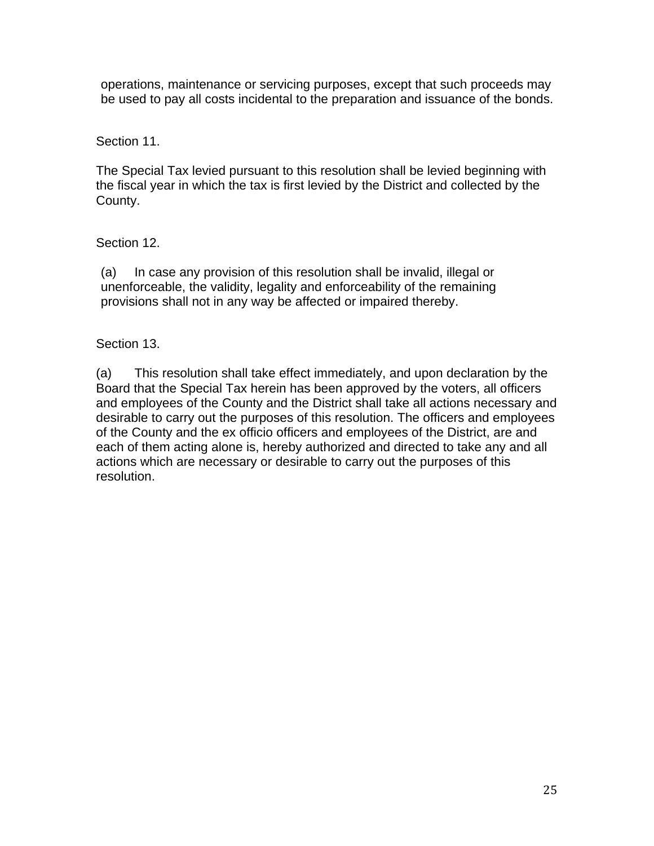operations, maintenance or servicing purposes, except that such proceeds may be used to pay all costs incidental to the preparation and issuance of the bonds.

Section 11.

The Special Tax levied pursuant to this resolution shall be levied beginning with the fiscal year in which the tax is first levied by the District and collected by the County.

Section 12.

(a) In case any provision of this resolution shall be invalid, illegal or unenforceable, the validity, legality and enforceability of the remaining provisions shall not in any way be affected or impaired thereby.

Section 13.

(a) This resolution shall take effect immediately, and upon declaration by the Board that the Special Tax herein has been approved by the voters, all officers and employees of the County and the District shall take all actions necessary and desirable to carry out the purposes of this resolution. The officers and employees of the County and the ex officio officers and employees of the District, are and each of them acting alone is, hereby authorized and directed to take any and all actions which are necessary or desirable to carry out the purposes of this resolution.